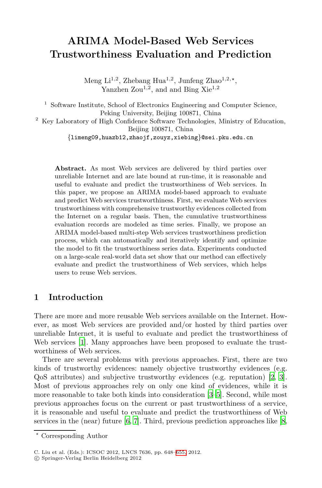# **ARIMA Model-Based Web Services Trustworthiness Evaluation and Prediction**

Meng Li<sup>1,2</sup>, Zhebang Hua<sup>1,2</sup>, Junfeng Zhao<sup>1,2,\*</sup>, Yanzhen  $Zou^{1,2}$ , and and Bing  $Xie^{1,2}$ 

<sup>1</sup> Software Institute, School of Electronics Engineering and Computer Science, Peking University, Beijing 100871, China

<sup>2</sup> Key Laboratory of High Confidence Software Technologies, Ministry of Education, Beijing 100871, China

*{*limeng09,huazb12,zhaojf,zouyz,xiebing*}*@sei.pku.edu.cn

**Abstract.** As most Web services are delivered by third parties over unreliable Internet and are late bound at run-time, it is reasonable and useful to evaluate and predict the trustworthiness of Web services. In this paper, we propose an ARIMA model-based approach to evaluate and predict Web services trustworthiness. First, we evaluate Web services trustworthiness with comprehensive trustworthy evidences collected from the Internet on a regular basis. Then, the cumulative trustworthiness evaluation records are modeled as time series. Finally, we propose an ARIMA model-based multi-step Web services trustworthiness prediction process, which can automatically and iteratively identify and optimize the model to fit the trustworthiness series data. Experiments conducted on a large-scale real-world data set show that our method can effectively evaluate and predict the trustworthiness of Web services, which helps users to reuse Web services.

# **1 Introduction**

There are more and more reusable Web services availab[le](#page-7-0) [on](#page-7-1) the Internet. However, as most Web services are pro[vid](#page-7-1)[ed](#page-7-2) and/or hosted by third parties over unreliable Internet, it is useful to evaluate and predict the trustworthiness of Web services [1]. Many approaches have been proposed to evaluate the trustworthiness [o](#page-7-3)f [W](#page-7-4)eb services.

There are several problems with previous approaches. [Fi](#page-7-5)rst, there are two kinds of trustworthy evidences: namely objective trustworthy evidences (e.g. QoS attributes) and subjective trustworthy evidences (e.g. reputation) [2, 3]. Most of previous approac[hes](#page-7-6) rely on only one kind of evidences, while it is more reasonable to take both kinds into consideration [3–5]. Second, while most previous approaches focus on the current or past trustworthiness of a service, it is reasonable and useful to evaluate and predict the trustworthiness of Web services in the (near) future  $[6, 7]$ . Third, previous prediction approaches like  $[8, 6]$ 

<sup>-</sup> Corresponding Author

C. Liu et al. (Eds.): ICSOC 2012, LNCS 7636, pp. 648–655, 2012.

<sup>-</sup>c Springer-Verlag Berlin Heidelberg 2012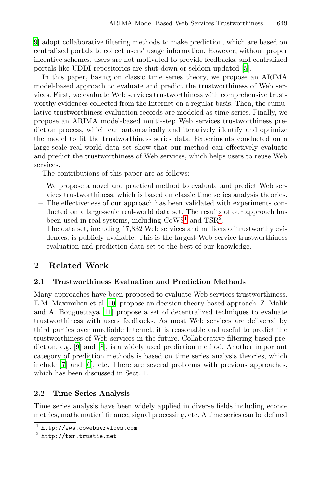9] adopt collaborative filtering methods to make prediction, which are based on centralized portals to collect users' usage information. However, without proper incentive schemes, users are not motivated to provide feedbacks, and centralized portals like UDDI repositories are shut down or seldom updated [5].

In this paper, basing on classic time series theory, we propose an ARIMA model-based approach to evaluate and predict the trustworthiness of Web services. First, we evaluate Web services trustworthiness with comprehensive trustworthy evidences collected from the Internet on a regular basis. Then, the cumulative trustworthiness evaluation records are modeled as time series. Finally, we propose an ARIMA model-based multi-step Web services trustworthiness prediction process, which can automatically and iteratively identify and optimize the model to fit the trustworthiness series data. Experiments conducted on a large-scale real-world data set show that our method can effectively evaluate and predict the trustworthin[es](#page-1-0)s of Web [se](#page-1-1)rvices, which helps users to reuse Web services.

The contributions of this paper are as follows:

- **–** We propose a novel and practical method to evaluate and predict Web services trustworthiness, which is based on classic time series analysis theories.
- **–** The effectiveness of our approach has been validated with experiments conducted on a large-scale real-world data set. The results of our approach has been used in real systems, including  $\text{CoWS}^1$  and  $\text{TSR}^2$ .
- **–** The data set, including 17,832 Web services and millions of trustworthy evi[denc](#page-7-7)es, is publicly available. This is the largest Web service trustworthiness [eva](#page-7-8)luation and prediction data set to the best of our knowledge.

# **2 Related Work**

### **2.[1](#page-7-5) Trustworthiness Evaluation and Prediction Methods**

<span id="page-1-1"></span><span id="page-1-0"></span>Many approaches have been proposed to evaluate Web services trustworthiness. E.M. Maximilien et al.[10] propose an decision theory-based approach. Z. Malik and A. Bouguettaya [11] propose a set of decentralized techniques to evaluate trustworthiness with users feedbacks. As most Web services are delivered by third parties over unreliable Internet, it is reasonable and useful to predict the trustworthiness of Web services in the future. Collaborative filtering-based prediction, e.g. [9] and [8], is a widely used prediction method. Another important category of prediction methods is based on time series analysis theories, which include [7] and [6], etc. There are several problems with previous approaches, which has been discussed in Sect. 1.

### **2.2 Time Series Analysis**

Time series analysis have been widely applied in diverse fields including econometrics, mathematical finance, signal processing, etc. A time series can be defined

http://www.cowebservices.com

<sup>2</sup> http://tsr.trustie.net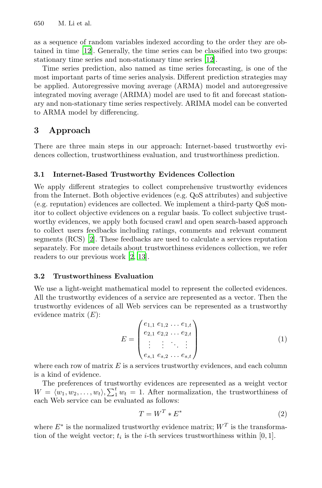650 M. Li et al.

as a sequence of random variables indexed according to the order they are obtained in time [12]. Generally, the time series can be classified into two groups: stationary time series and non-stationary time series [12].

Time series prediction, also named as time series forecasting, is one of the most important parts of time series analysis. Different prediction strategies may be applied. Autoregressive moving average (ARMA) model and autoregressive integrated moving average (ARIMA) model are used to fit and forecast stationary and non-stationary time series respectively. ARIMA model can be converted to ARMA model by differencing.

# **3 Approach**

There are three main steps in our approach: Internet-based trustworthy evidences collection, trustworthiness evaluation, and trustworthiness prediction.

#### **[3](#page-7-0).1 Internet-Based Trustworthy Evidences Collection**

We apply [diff](#page-7-0)[eren](#page-7-9)t strategies to collect comprehensive trustworthy evidences from the Internet. Both objective evidences (e.g. QoS attributes) and subjective (e.g. reputation) evidences are collected. We implement a third-party QoS monitor to collect objective evidences on a regular basis. To collect subjective trustworthy evidences, we apply both focused crawl and open search-based approach to collect users feedbacks including ratings, comments and relevant comment segments (RCS) [2]. These feedbacks are used to calculate a services reputation separately. For more details about trustworthiness evidences collection, we refer readers to our previous work [2, 13].

### **3.2 Trustworthiness Evaluation**

We use a light-weight mathematical model to represent the collected evidences. All the trustworthy evidences of a service are represented as a vector. Then the trustworthy evidences of all Web services can be represented as a trustworthy evidence matrix  $(E)$ :

$$
E = \begin{pmatrix} e_{1,1} & e_{1,2} & \dots & e_{1,t} \\ e_{2,1} & e_{2,2} & \dots & e_{2,t} \\ \vdots & \vdots & \ddots & \vdots \\ e_{s,1} & e_{s,2} & \dots & e_{s,t} \end{pmatrix}
$$
 (1)

where each row of matrix  $E$  is a services trustworthy evidences, and each column is a kind of evidence.

The preferences of trustworthy evidences are represented as a weight vector  $W = \langle w_1, w_2, \ldots, w_t \rangle, \sum_1^t w_t = 1.$  After normalization, the trustworthiness of each Web service can be evaluated as follows:

$$
T = W^T * E^*
$$
\n<sup>(2)</sup>

where  $E^*$  is the normalized trustworthy evidence matrix;  $W^T$  is the transformation of the weight vector;  $t_i$  is the *i*-th services trustworthiness within [0, 1].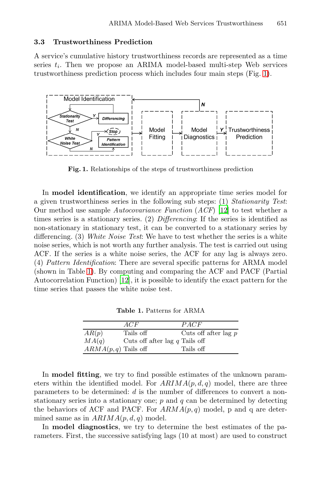#### **3.3 Trustworthiness Prediction**

A service's cumulative history trustworthiness records are represented as a time series  $t_i$ . Then we propose an ARIMA model-based multi-step Web services trustworthiness prediction process which includes four main steps (Fig. 1).



<span id="page-3-0"></span>**Fig. 1.** Relationships of the steps of trustworthiness prediction

In **model identification**, we identify an appropriate time series model for [a](#page-3-0) given trustworthiness series in the following sub steps: (1) *Stationarity Test*: Our met[hod](#page-7-10) use sample *Autocovariance Function* (*ACF*) [12] to test whether a times series is a stationary series. (2) *Differencing*: If the series is identified as non-stationary in stationary test, it can be converted to a stationary series by differencing. (3) *White Noise Test*: We have to test whether the series is a white noise series, which is not worth any further analysis. The test is carried out using ACF. If the series is a white noise series, the ACF for any lag is always zero. (4) *Pattern Identification*: There are several specific patterns for ARMA model (shown in Table 1). By computing and comparing the ACF and PACF (Partial Autocorrelation Function) [12], it is possible to identify the exact pattern for the time series that passes the white noise test.

**Table 1.** Patterns for ARMA

|                        | ACF                              | PACF                   |
|------------------------|----------------------------------|------------------------|
| AR(p)                  | Tails off                        | Cuts off after lag $p$ |
| MA(q)                  | Cuts off after lag $q$ Tails off |                        |
| $ARMA(p, q)$ Tails off |                                  | Tails off              |

In **model fitting**, we try to find possible estimates of the unknown parameters within the identified model. For  $ARIMA(p, d, q)$  model, there are three parameters to be determined: d is the number of differences to convert a nonstationary series into a stationary one;  $p$  and  $q$  can be determined by detecting the behaviors of ACF and PACF. For  $ARMA(p, q)$  model, p and q are determined same as in  $ARIMA(p, d, q)$  model.

In **model diagnostics**, we try to determine the best estimates of the parameters. First, the successive satisfying lags (10 at most) are used to construct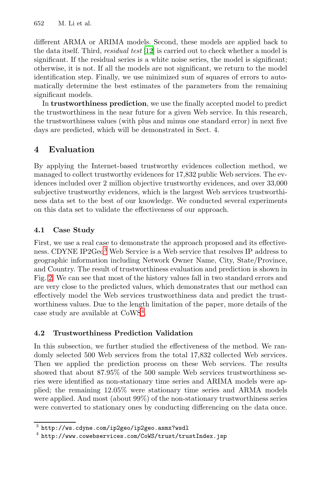#### 652 M. Li et al.

different ARMA or ARIMA models. Second, these models are applied back to the data itself. Third, *residual test* [12] is carried out to check whether a model is significant. If the residual series is a white noise series, the model is significant; otherwise, it is not. If all the models are not significant, we return to the model identification step. Finally, we use minimized sum of squares of errors to automatically determine the best estimates of the parameters from the remaining significant models.

In **trustworthiness prediction**, we use the finally accepted model to predict the trustworthiness in the near future for a given Web service. In this research, the trustworthiness values (with plus and minus one standard error) in next five days are predicted, which will be demonstrated in Sect. 4.

# **4 Evaluation**

By applying the Internet-based trustworthy evidences collection method, we managed to collect trustworthy evidences for 17,832 public Web services. The evide[nc](#page-4-0)es included over 2 million objective trustworthy evidences, and over 33,000 subjective trustworthy evidences, which is the largest Web services trustworthiness data set to the best of our knowledge. We conducted several experiments on this data set to validate the effectiveness of our approach.

### **4.1 Case Study**

First, we use a [re](#page-4-1)al case to demonstrate the approach proposed and its effectiveness. CDYNE IP2Geo<sup>3</sup> Web Service is a Web service that resolves IP address to geographic information including Network Owner Name, City, State/Province, and Country. The result of trustworthiness evaluation and prediction is shown in Fig. 2. We can see that most of the history values fall in two standard errors and are very close to the predicted values, which demonstrates that our method can effectively model the Web services trustworthiness data and predict the trustworthiness values. Due to the length limitation of the paper, more details of the case study are available at CoWS<sup>4</sup>.

### <span id="page-4-1"></span><span id="page-4-0"></span>**4.2 Trustworthiness Prediction Validation**

In this subsection, we further studied the effectiveness of the method. We randomly selected 500 Web services from the total 17,832 collected Web services. Then we applied the prediction process on these Web services. The results showed that about 87.95% of the 500 sample Web services trustworthiness series were identified as non-stationary time series and ARIMA models were applied; the remaining 12.05% were stationary time series and ARMA models were applied. And most (about 99%) of the non-stationary trustworthiness series were converted to stationary ones by conducting differencing on the data once.

http://ws.cdyne.com/ip2geo/ip2geo.asmx?wsdl

<sup>4</sup> http://www.cowebservices.com/CoWS/trust/trustIndex.jsp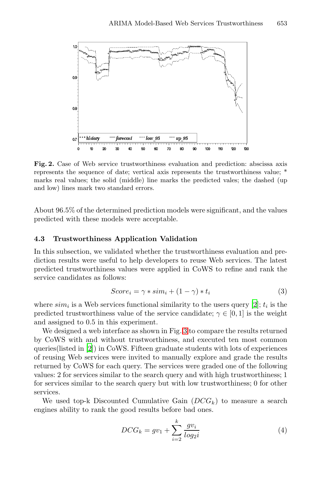

**Fig. 2.** Case of Web service trustworthiness evaluation and prediction: abscissa axis represents the sequence of date; vertical axis represents the trustworthiness value; \* marks real values; the solid (middle) line marks the predicted vales; the dashed (up and low) lines mark two standard errors.

About 96.5% of the determined prediction models were significant, and the values predicted with these models were acceptable.

### **4.3 Trustworthiness Application Validatio[n](#page-7-0)**

In this subsection, we validated whether the trustworthiness evaluation and prediction results were useful t[o h](#page-6-0)elp developers to reuse Web services. The latest predicted trustworthiness values were applied in CoWS to refine and rank the [s](#page-7-0)ervice candidates as follows:

$$
Score_i = \gamma * sim_i + (1 - \gamma) * t_i \tag{3}
$$

where  $sim_i$  is a Web services functional similarity to the users query [2];  $t_i$  is the predicted trustworthiness value of the service candidate;  $\gamma \in [0, 1]$  is the weight and assigned to 0.5 in this experiment.

We designed a web interface as shown in Fig. 3 to compare the results returned by CoWS with and without trustworthiness, and executed ten most common queries(listed in [2]) in CoWS. Fifteen graduate students with lots of experiences of reusing Web services were invited to manually explore and grade the results returned by CoWS for each query. The services were graded one of the following values: 2 for services similar to the search query and with high trustworthiness; 1 for services similar to the search query but with low trustworthiness; 0 for other services.

We used top-k Discounted Cumulative Gain  $(DCG_k)$  to measure a search engines ability to rank the good results before bad ones.

$$
DCG_k = gv_1 + \sum_{i=2}^{k} \frac{gv_i}{log_2 i}
$$
 (4)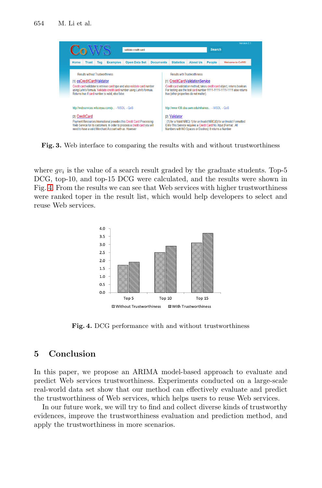654 M. Li et al.

<span id="page-6-0"></span>

**Fig. 3.** Web interface to comparing the results with and without trustworthiness

where  $gv_i$  is the value of a search result graded by the graduate students. Top-5 DCG, top-10, and top-15 DCG were calculated, and the results were shown in Fig. 4. From the results we can see that Web services with higher trustworthiness were ranked toper in the result list, which would help developers to select and reuse Web services.



**Fig. 4.** DCG performance with and without trustworthiness

# **5 Conclusion**

In this paper, we propose an ARIMA model-based approach to evaluate and predict Web services trustworthiness. Experiments conducted on a large-scale real-world data set show that our method can effectively evaluate and predict the trustworthiness of Web services, which helps users to reuse Web services.

In our future work, we will try to find and collect diverse kinds of trustworthy evidences, improve the trustworthiness evaluation and prediction method, and apply the trustworthiness in more scenarios.